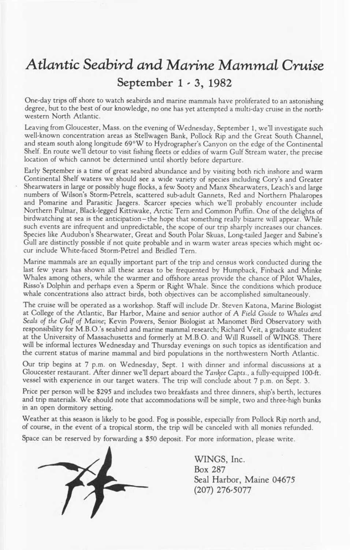## *Atlantic Seabird and Marine Mammal Cruise* **September 1-3, 1982**

One'day trips off shore to watch seabirds and marine mammals have proliferated to an astonishing degree, but to the best of our knowledge, no one has yet attempted a multi-day cruise in the north- western North Atlantic.

Leaving from Gloucester, Mass. on the evening of Wednesday, September 1, we'll investigate such<br>well-known concentration areas as Stellwagen Bank, Pollock Rip and the Great South Channel,<br>and steam south along longitude 69

Early September is a time of great seabird abundance and by visiting both rich inshore and warm<br>Continental Shelf waters we should see a wide variety of species including Cory's and Greater<br>Shearwaters in large or possibly

Marine mammals are an equally important part of the trip and census work conducted during the<br>last few years has shown all these areas to be frequented by Humpback, Finback and Minke<br>Whales among others, while the warmer a

The cruise will be operated as a workshop. Staff will include Dr. Steven Katona, Marine Biologist<br>at College of the Atlantic, Bar Harbor, Maine and senior author of A Field Guide to Whales and<br>Seals of the Gulf of Maine; K

Our trip begins at 7 p.m. on Wednesday, Sept. 1 with dinner and informal discussions at a Gloucester restaurant. After dinner we'll depart aboard the *Yankee Capts.*, a fully-equipped 100-ft. vessel with experience in our

Price per person will be \$295 and includes two breakfasts and three dinners, ship's berth, lectures and trip materials. We should note that accommodations wiU be simple, two and three-high bunks in an open dormitory setting.

Weather at this season is likely to be good. Fog is possible, especially from Pollock Rip north and, of course, in the event of a tropical storm, the trip will be canceled with all monies refunded.

Space can be reserved by forwarding a \$50 deposit. For more information, please write.



**WINGS, Inc. Box 287 Seal Harbor, Maine 04675 (207) 276-5077**